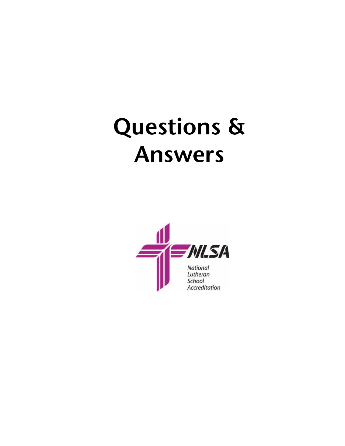# **Questions & Answers**

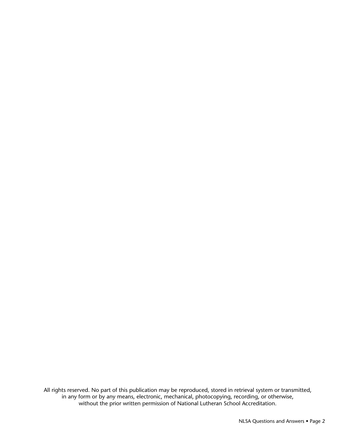All rights reserved. No part of this publication may be reproduced, stored in retrieval system or transmitted, in any form or by any means, electronic, mechanical, photocopying, recording, or otherwise, without the prior written permission of National Lutheran School Accreditation.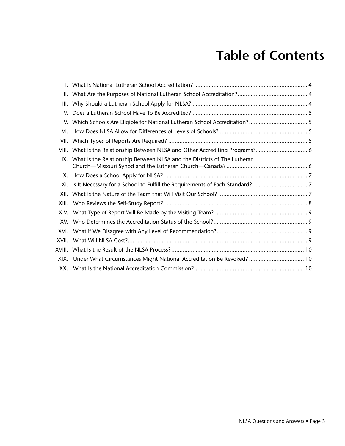## **Table of Contents**

| III.  |                                                                                 |  |  |  |
|-------|---------------------------------------------------------------------------------|--|--|--|
| IV.   |                                                                                 |  |  |  |
|       |                                                                                 |  |  |  |
|       |                                                                                 |  |  |  |
|       |                                                                                 |  |  |  |
|       | VIII. What Is the Relationship Between NLSA and Other Accrediting Programs? 6   |  |  |  |
|       | IX. What Is the Relationship Between NLSA and the Districts of The Lutheran     |  |  |  |
|       |                                                                                 |  |  |  |
|       | XI. Is It Necessary for a School to Fulfill the Requirements of Each Standard?7 |  |  |  |
|       |                                                                                 |  |  |  |
| XIII. |                                                                                 |  |  |  |
| XIV.  |                                                                                 |  |  |  |
| XV.   |                                                                                 |  |  |  |
| XVI.  |                                                                                 |  |  |  |
| XVII. |                                                                                 |  |  |  |
|       |                                                                                 |  |  |  |
| XIX.  | Under What Circumstances Might National Accreditation Be Revoked?  10           |  |  |  |
|       |                                                                                 |  |  |  |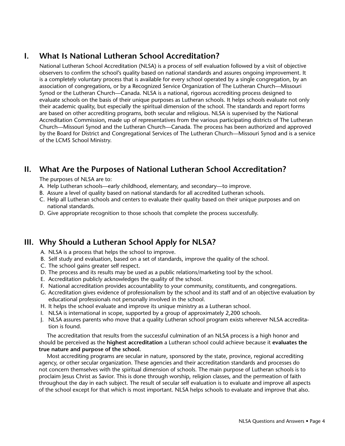## **I. What Is National Lutheran School Accreditation?**

National Lutheran School Accreditation (NLSA) is a process of self evaluation followed by a visit of objective observers to confirm the school's quality based on national standards and assures ongoing improvement. It is a completely voluntary process that is available for every school operated by a single congregation, by an association of congregations, or by a Recognized Service Organization of The Lutheran Church—Missouri Synod or the Lutheran Church—Canada. NLSA is a national, rigorous accrediting process designed to evaluate schools on the basis of their unique purposes as Lutheran schools. It helps schools evaluate not only their academic quality, but especially the spiritual dimension of the school. The standards and report forms are based on other accrediting programs, both secular and religious. NLSA is supervised by the National Accreditation Commission, made up of representatives from the various participating districts of The Lutheran Church—Missouri Synod and the Lutheran Church—Canada. The process has been authorized and approved by the Board for District and Congregational Services of The Lutheran Church—Missouri Synod and is a service of the LCMS School Ministry.

## **II. What Are the Purposes of National Lutheran School Accreditation?**

The purposes of NLSA are to:

- A. Help Lutheran schools—early childhood, elementary, and secondary—to improve.
- B. Assure a level of quality based on national standards for all accredited Lutheran schools.
- C. Help all Lutheran schools and centers to evaluate their quality based on their unique purposes and on national standards.
- D. Give appropriate recognition to those schools that complete the process successfully.

## **III. Why Should a Lutheran School Apply for NLSA?**

- A. NLSA is a process that helps the school to improve.
- B. Self study and evaluation, based on a set of standards, improve the quality of the school.
- C. The school gains greater self respect.
- D. The process and its results may be used as a public relations/marketing tool by the school.
- E. Accreditation publicly acknowledges the quality of the school.
- F. National accreditation provides accountability to your community, constituents, and congregations.
- G. Accreditation gives evidence of professionalism by the school and its staff and of an objective evaluation by educational professionals not personally involved in the school.
- H. It helps the school evaluate and improve its unique ministry as a Lutheran school.
- I. NLSA is international in scope, supported by a group of approximately 2,200 schools.
- J. NLSA assures parents who move that a quality Lutheran school program exists wherever NLSA accreditation is found.

 The accreditation that results from the successful culmination of an NLSA process is a high honor and should be perceived as the **highest accreditation** a Lutheran school could achieve because it **evaluates the true nature and purpose of the school.**

 Most accrediting programs are secular in nature, sponsored by the state, province, regional accrediting agency, or other secular organization. These agencies and their accreditation standards and processes do not concern themselves with the spiritual dimension of schools. The main purpose of Lutheran schools is to proclaim Jesus Christ as Savior. This is done through worship, religion classes, and the permeation of faith throughout the day in each subject. The result of secular self evaluation is to evaluate and improve all aspects of the school except for that which is most important. NLSA helps schools to evaluate and improve that also.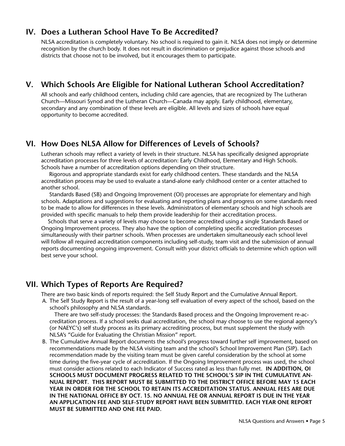## **IV. Does a Lutheran School Have To Be Accredited?**

NLSA accreditation is completely voluntary. No school is required to gain it. NLSA does not imply or determine recognition by the church body. It does not result in discrimination or prejudice against those schools and districts that choose not to be involved, but it encourages them to participate.

## **V. Which Schools Are Eligible for National Lutheran School Accreditation?**

All schools and early childhood centers, including child care agencies, that are recognized by The Lutheran Church—Missouri Synod and the Lutheran Church—Canada may apply. Early childhood, elementary, secondary and any combination of these levels are eligible. All levels and sizes of schools have equal opportunity to become accredited.

## **VI. How Does NLSA Allow for Differences of Levels of Schools?**

Lutheran schools may reflect a variety of levels in their structure. NLSA has specifically designed appropriate accreditation processes for three levels of accreditation: Early Childhood, Elementary and High Schools. Schools have a number of accreditation options depending on their structure.

 Rigorous and appropriate standards exist for early childhood centers. These standards and the NLSA accreditation process may be used to evaluate a stand-alone early childhood center or a center attached to another school.

 Standards Based (SB) and Ongoing Improvement (OI) processes are appropriate for elementary and high schools. Adaptations and suggestions for evaluating and reporting plans and progress on some standards need to be made to allow for differences in these levels. Administrators of elementary schools and high schools are provided with specific manuals to help them provide leadership for their accreditation process.

 Schools that serve a variety of levels may choose to become accredited using a single Standards Based or Ongoing Improvement process. They also have the option of completing specific accreditation processes simultaneously with their partner schools. When processes are undertaken simultaneously each school level will follow all required accreditation components including self-study, team visit and the submission of annual reports documenting ongoing improvement. Consult with your district officials to determine which option will best serve your school.

## **VII. Which Types of Reports Are Required?**

There are two basic kinds of reports required: the Self Study Report and the Cumulative Annual Report.

A. The Self Study Report is the result of a year-long self evaluation of every aspect of the school, based on the school's philosophy and NLSA standards.

 There are two self-study processes: the Standards Based process and the Ongoing Improvement re-accreditation process. If a school seeks dual accreditation, the school may choose to use the regional agency's (or NAEYC's) self study process as its primary accrediting process, but must supplement the study with NLSA's "Guide for Evaluating the Christian Mission" report.

B. The Cumulative Annual Report documents the school's progress toward further self improvement, based on recommendations made by the NLSA visiting team and the school's School Improvement Plan (SIP). Each recommendation made by the visiting team must be given careful consideration by the school at some time during the five-year cycle of accreditation. If the Ongoing Improvement process was used, the school must consider actions related to each Indicator of Success rated as less than fully met. **IN ADDITION, OI SCHOOLS MUST DOCUMENT PROGRESS RELATED TO THE SCHOOL'S SIP IN THE CUMULATIVE AN-NUAL REPORT. THIS REPORT MUST BE SUBMITTED TO THE DISTRICT OFFICE BEFORE MAY 15 EACH YEAR IN ORDER FOR THE SCHOOL TO RETAIN ITS ACCREDITATION STATUS. ANNUAL FEES ARE DUE IN THE NATIONAL OFFICE BY OCT. 15. NO ANNUAL FEE OR ANNUAL REPORT IS DUE IN THE YEAR AN APPLICATION FEE AND SELF-STUDY REPORT HAVE BEEN SUBMITTED. EACH YEAR ONE REPORT MUST BE SUBMITTED AND ONE FEE PAID.**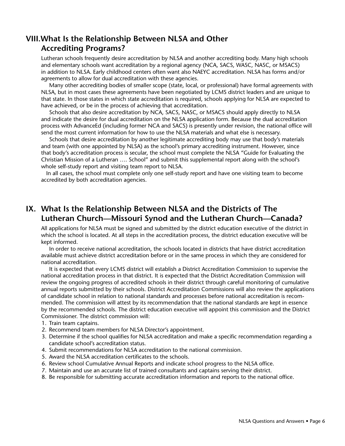## **VIII.What Is the Relationship Between NLSA and Other Accrediting Programs?**

Lutheran schools frequently desire accreditation by NLSA and another accrediting body. Many high schools and elementary schools want accreditation by a regional agency (NCA, SACS, WASC, NASC, or MSACS) in addition to NLSA. Early childhood centers often want also NAEYC accreditation. NLSA has forms and/or agreements to allow for dual accreditation with these agencies.

 Many other accrediting bodies of smaller scope (state, local, or professional) have formal agreements with NLSA, but in most cases these agreements have been negotiated by LCMS district leaders and are unique to that state. In those states in which state accreditation is required, schools applying for NLSA are expected to have achieved, or be in the process of achieving that accreditation.

 Schools that also desire accreditation by NCA, SACS, NASC, or MSACS should apply directly to NLSA and indicate the desire for dual accreditation on the NLSA application form. Because the dual accreditation process with AdvanceEd (including former NCA and SACS) is presently under revision, the national office will send the most current information for how to use the NLSA materials and what else is necessary.

 Schools that desire accreditation by another legitimate accrediting body may use that body's materials and team (with one appointed by NLSA) as the school's primary accrediting instrument. However, since that body's accreditation process is secular, the school must complete the NLSA "Guide for Evaluating the Christian Mission of a Lutheran …. School" and submit this supplemental report along with the school's whole self-study report and visiting team report to NLSA.

In all cases, the school must complete only one self-study report and have one visiting team to become accredited by both accreditation agencies.

## **IX. What Is the Relationship Between NLSA and the Districts of The Lutheran Church—Missouri Synod and the Lutheran Church—Canada?**

All applications for NLSA must be signed and submitted by the district education executive of the district in which the school is located. At all steps in the accreditation process, the district education executive will be kept informed.

 In order to receive national accreditation, the schools located in districts that have district accreditation available must achieve district accreditation before or in the same process in which they are considered for national accreditation.

 It is expected that every LCMS district will establish a District Accreditation Commission to supervise the national accreditation process in that district. It is expected that the District Accreditation Commission will review the ongoing progress of accredited schools in their district through careful monitoring of cumulative annual reports submitted by their schools. District Accreditation Commissions will also review the applications of candidate school in relation to national standards and processes before national accreditation is recommended. The commission will attest by its recommendation that the national standards are kept in essence by the recommended schools. The district education executive will appoint this commission and the District Commissioner. The district commission will:

- 1. Train team captains.
- 2. Recommend team members for NLSA Director's appointment.
- 3. Determine if the school qualifies for NLSA accreditation and make a specific recommendation regarding a candidate school's accreditation status.
- 4. Submit recommendations for NLSA accreditation to the national commission.
- 5. Award the NLSA accreditation certificates to the schools.
- 6. Review school Cumulative Annual Reports and indicate school progress to the NLSA office.
- 7. Maintain and use an accurate list of trained consultants and captains serving their district.
- 8. Be responsible for submitting accurate accreditation information and reports to the national office.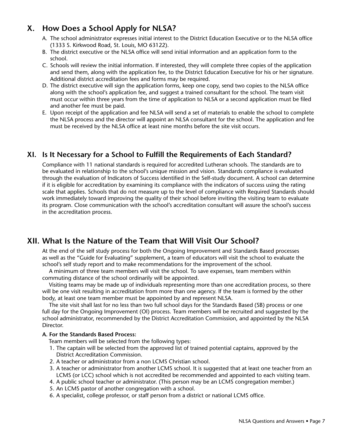## **X. How Does a School Apply for NLSA?**

- A. The school administrator expresses initial interest to the District Education Executive or to the NLSA office (1333 S. Kirkwood Road, St. Louis, MO 63122).
- B. The district executive or the NLSA office will send initial information and an application form to the school.
- C. Schools will review the initial information. If interested, they will complete three copies of the application and send them, along with the application fee, to the District Education Executive for his or her signature. Additional district accreditation fees and forms may be required.
- D. The district executive will sign the application forms, keep one copy, send two copies to the NLSA office along with the school's application fee, and suggest a trained consultant for the school. The team visit must occur within three years from the time of application to NLSA or a second application must be filed and another fee must be paid.
- E. Upon receipt of the application and fee NLSA will send a set of materials to enable the school to complete the NLSA process and the director will appoint an NLSA consultant for the school. The application and fee must be received by the NLSA office at least nine months before the site visit occurs.

## **XI. Is It Necessary for a School to Fulfill the Requirements of Each Standard?**

Compliance with 11 national standards is required for accredited Lutheran schools. The standards are to be evaluated in relationship to the school's unique mission and vision. Standards compliance is evaluated through the evaluation of Indicators of Success identified in the Self-study document. A school can determine if it is eligible for accreditation by examining its compliance with the indicators of success using the rating scale that applies. Schools that do not measure up to the level of compliance with Required Standards should work immediately toward improving the quality of their school before inviting the visiting team to evaluate its program. Close communication with the school's accreditation consultant will assure the school's success in the accreditation process.

## **XII. What Is the Nature of the Team that Will Visit Our School?**

At the end of the self study process for both the Ongoing Improvement and Standards Based processes as well as the "Guide for Evaluating" supplement, a team of educators will visit the school to evaluate the school's self study report and to make recommendations for the improvement of the school.

A minimum of three team members will visit the school. To save expenses, team members within commuting distance of the school ordinarily will be appointed.

Visiting teams may be made up of individuals representing more than one accreditation process, so there will be one visit resulting in accreditation from more than one agency. If the team is formed by the other body, at least one team member must be appointed by and represent NLSA.

The site visit shall last for no less than two full school days for the Standards Based (SB) process or one full day for the Ongoing Improvement (OI) process. Team members will be recruited and suggested by the school administrator, recommended by the District Accreditation Commission, and appointed by the NLSA Director.

#### **A. For the Standards Based Process:**

- Team members will be selected from the following types:
- 1. The captain will be selected from the approved list of trained potential captains, approved by the District Accreditation Commission.
- 2. A teacher or administrator from a non LCMS Christian school.
- 3. A teacher or administrator from another LCMS school. It is suggested that at least one teacher from an LCMS (or LCC) school which is not accredited be recommended and appointed to each visiting team.
- 4. A public school teacher or administrator. (This person may be an LCMS congregation member.)
- 5. An LCMS pastor of another congregation with a school.
- 6. A specialist, college professor, or staff person from a district or national LCMS office.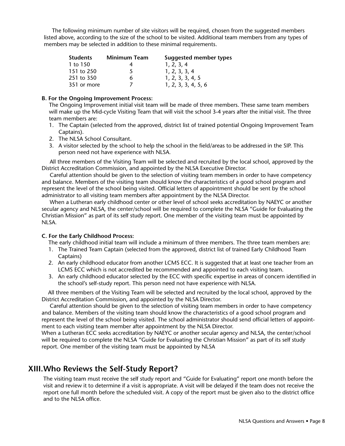The following minimum number of site visitors will be required, chosen from the suggested members listed above, according to the size of the school to be visited. Additional team members from any types of members may be selected in addition to these minimal requirements.

| <b>Students</b> | <b>Minimum Team</b> | Suggested member types |
|-----------------|---------------------|------------------------|
| 1 to 150        |                     | 1, 2, 3, 4             |
| 151 to 250      | $\mathcal{L}$       | 1, 2, 3, 3, 4          |
| 251 to 350      |                     | 1, 2, 3, 3, 4, 5       |
| 351 or more     |                     | 1, 2, 3, 3, 4, 5, 6    |

#### **B. For the Ongoing Improvement Process:**

The Ongoing Improvement initial visit team will be made of three members. These same team members will make up the Mid-cycle Visiting Team that will visit the school 3-4 years after the initial visit. The three team members are:

- 1. The Captain (selected from the approved, district list of trained potential Ongoing Improvement Team Captains).
- 2. The NLSA School Consultant.
- 3. A visitor selected by the school to help the school in the field/areas to be addressed in the SIP. This person need not have experience with NLSA.

 All three members of the Visiting Team will be selected and recruited by the local school, approved by the District Accreditation Commission, and appointed by the NLSA Executive Director.

 Careful attention should be given to the selection of visiting team members in order to have competency and balance. Members of the visiting team should know the characteristics of a good school program and represent the level of the school being visited. Official letters of appointment should be sent by the school administrator to all visiting team members after appointment by the NLSA Director.

 When a Lutheran early childhood center or other level of school seeks accreditation by NAEYC or another secular agency and NLSA, the center/school will be required to complete the NLSA "Guide for Evaluating the Christian Mission" as part of its self study report. One member of the visiting team must be appointed by NLSA.

#### **C. For the Early Childhood Process:**

The early childhood initial team will include a minimum of three members. The three team members are:

- 1. The Trained Team Captain (selected from the approved, district list of trained Early Childhood Team Captains)
- 2. An early childhood educator from another LCMS ECC. It is suggested that at least one teacher from an LCMS ECC which is not accredited be recommended and appointed to each visiting team.
- 3. An early childhood educator selected by the ECC with specific expertise in areas of concern identified in the school's self-study report. This person need not have experience with NLSA.

 All three members of the Visiting Team will be selected and recruited by the local school, approved by the District Accreditation Commission, and appointed by the NLSA Director.

 Careful attention should be given to the selection of visiting team members in order to have competency and balance. Members of the visiting team should know the characteristics of a good school program and represent the level of the school being visited. The school administrator should send official letters of appointment to each visiting team member after appointment by the NLSA Director.

When a Lutheran ECC seeks accreditation by NAEYC or another secular agency and NLSA, the center/school will be required to complete the NLSA "Guide for Evaluating the Christian Mission" as part of its self study report. One member of the visiting team must be appointed by NLSA

## **XIII.Who Reviews the Self-Study Report?**

The visiting team must receive the self study report and "Guide for Evaluating" report one month before the visit and review it to determine if a visit is appropriate. A visit will be delayed if the team does not receive the report one full month before the scheduled visit. A copy of the report must be given also to the district office and to the NLSA office.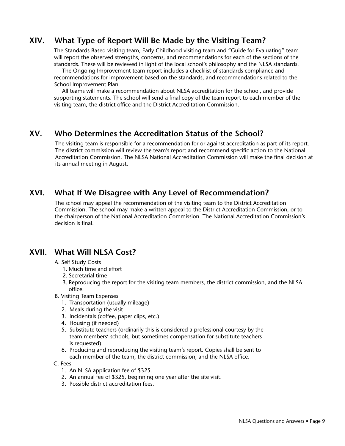## **XIV. What Type of Report Will Be Made by the Visiting Team?**

The Standards Based visiting team, Early Childhood visiting team and "Guide for Evaluating" team will report the observed strengths, concerns, and recommendations for each of the sections of the standards. These will be reviewed in light of the local school's philosophy and the NLSA standards.

 The Ongoing Improvement team report includes a checklist of standards compliance and recommendations for improvement based on the standards, and recommendations related to the School Improvement Plan.

 All teams will make a recommendation about NLSA accreditation for the school, and provide supporting statements. The school will send a final copy of the team report to each member of the visiting team, the district office and the District Accreditation Commission.

## **XV. Who Determines the Accreditation Status of the School?**

The visiting team is responsible for a recommendation for or against accreditation as part of its report. The district commission will review the team's report and recommend specific action to the National Accreditation Commission. The NLSA National Accreditation Commission will make the final decision at its annual meeting in August.

## **XVI. What If We Disagree with Any Level of Recommendation?**

The school may appeal the recommendation of the visiting team to the District Accreditation Commission. The school may make a written appeal to the District Accreditation Commission, or to the chairperson of the National Accreditation Commission. The National Accreditation Commission's decision is final.

## **XVII. What Will NLSA Cost?**

#### A. Self Study Costs

- 1. Much time and effort
- 2. Secretarial time
- 3. Reproducing the report for the visiting team members, the district commission, and the NLSA office.
- B. Visiting Team Expenses
	- 1. Transportation (usually mileage)
	- 2. Meals during the visit
	- 3. Incidentals (coffee, paper clips, etc.)
	- 4. Housing (if needed)
	- 5. Substitute teachers (ordinarily this is considered a professional courtesy by the team members' schools, but sometimes compensation for substitute teachers is requested).
	- 6. Producing and reproducing the visiting team's report. Copies shall be sent to each member of the team, the district commission, and the NLSA office.

#### C. Fees

- 1. An NLSA application fee of \$325.
- 2. An annual fee of \$325, beginning one year after the site visit.
- 3. Possible district accreditation fees.